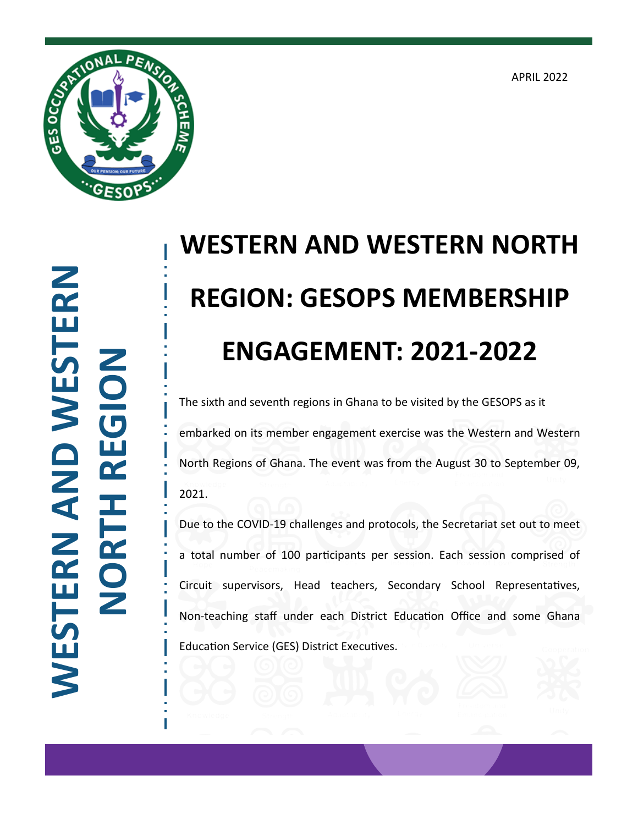APRIL 2022



**WESTERN AND WESTERN**  WESTERN AND WESTERN **NORTH REGION**

## **WESTERN AND WESTERN NORTH REGION: GESOPS MEMBERSHIP ENGAGEMENT: 2021-2022**

The sixth and seventh regions in Ghana to be visited by the GESOPS as it embarked on its member engagement exercise was the Western and Western North Regions of Ghana. The event was from the August 30 to September 09, 2021.

Due to the COVID-19 challenges and protocols, the Secretariat set out to meet a total number of 100 participants per session. Each session comprised of Circuit supervisors, Head teachers, Secondary School Representatives, Non-teaching staff under each District Education Office and some Ghana Education Service (GES) District Executives.